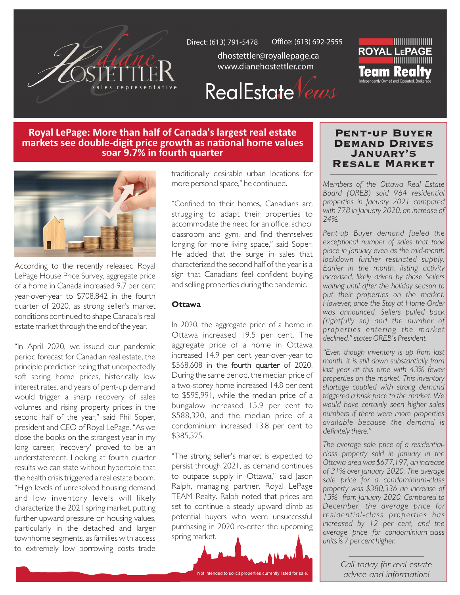

Office: (613) 692-2555 Direct: (613) 791-5478

> dhostettler@royallepage.ca www.dianehostettler.com



## **RealEstate** Vews

## **Royal LePage: More than half of Canada's largest real estate** markets see double-digit price growth as national home values soar 9.7% in fourth quarter



According to the recently released Royal LePage House Price Survey, aggregate price of a home in Canada increased 9.7 per cent year-over-year to \$708,842 in the fourth quarter of 2020, as strong seller's market conditions continued to shape Canada's real estate market through the end of the year.

"In April 2020, we issued our pandemic period forecast for Canadian real estate, the principle prediction being that unexpectedly soft spring home prices, historically low interest rates, and years of pent-up demand would trigger a sharp recovery of sales volumes and rising property prices in the second half of the year," said Phil Soper, president and CEO of Royal LePage. "As we close the books on the strangest year in my long career, 'recovery' proved to be an understatement. Looking at fourth quarter results we can state without hyperbole that the health crisis triggered a real estate boom. "High levels of unresolved housing demand and low inventory levels will likely characterize the 2021 spring market, putting further upward pressure on housing values, particularly in the detached and larger townhome segments, as families with access to extremely low borrowing costs trade

traditionally desirable urban locations for more personal space," he continued.

"Confined to their homes, Canadians are struggling to adapt their properties to accommodate the need for an office, school classroom and gym, and find themselves longing for more living space," said Soper. He added that the surge in sales that characterized the second half of the year is a sign that Canadians feel confident buying and selling properties during the pandemic.

#### **Ottawa**

In 2020, the aggregate price of a home in Ottawa increased 19.5 per cent. The aggregate price of a home in Ottawa increased 14.9 per cent year-over-year to \$568,608 in the fourth quarter of 2020. During the same period, the median price of a two-storey home increased 14.8 per cent to \$595,991, while the median price of a bungalow increased 15.9 per cent to \$588,320, and the median price of a condominium increased 13.8 per cent to \$385,525.

"The strong seller's market is expected to persist through 2021, as demand continues to outpace supply in Ottawa," said Jason Ralph, managing partner, Royal LePage TEAM Realty. Ralph noted that prices are set to continue a steady upward climb as potential buyers who were unsuccessful purchasing in 2020 re-enter the upcoming spring market.



## Pent-up Buyer Demand Drives January's Resale Market

*Members of the Ottawa Real Estate Board (OREB) sold 964 residential properties in January 2021 compared with 778 in January 2020, an increase of 24%.*

*Pent-up Buyer demand fueled the exceptional number of sales that took place in January even as the mid-month lockdown further restricted supply. Earlier in the month, listing activity increased, likely driven by those Sellers waiting until after the holiday season to put their properties on the market. However, once the Stay-at-Home Order was announced, Sellers pulled back (rightfully so) and the number of properties entering the market declined," states OREB's President.* 

*"Even though inventory is up from last month, it is still down substantially from last year at this time with 43% fewer properties on the market. This inventory shortage coupled with strong demand triggered a brisk pace to the market. We would have certainly seen higher sales numbers if there were more properties available because the demand is definitely there."*

*The average sale price of a residentialclass property sold in January in the Ottawa area was \$677,197, an increase of 31% over January 2020. The average sale price for a condominium-class property was \$380,336 an increase of 13% from January 2020. Compared to December, the average price for residential-class properties has increased by 12 per cent, and the average price for condominium-class units is 7 per cent higher.*

> *Call today for real estate advice and information!*